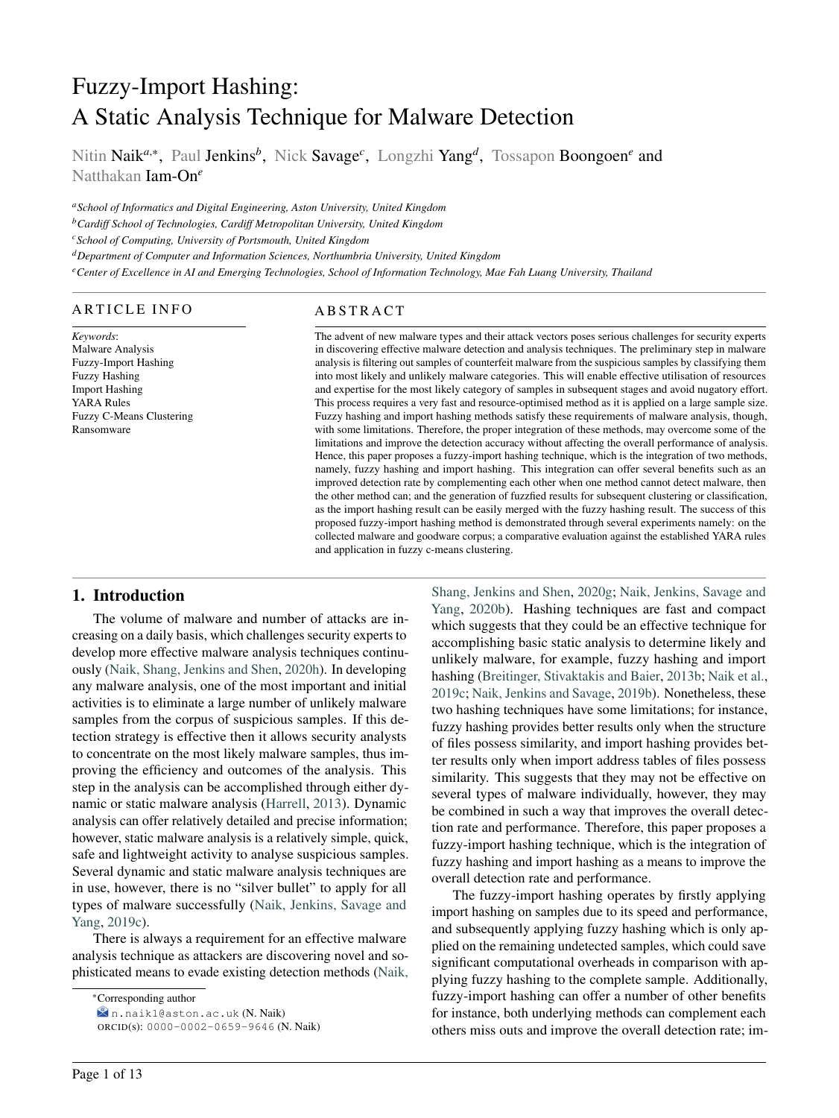# Fuzzy-Import Hashing: A Static Analysis Technique for Malware Detection

Nitin Naik<sup>a,∗</sup>, Paul Jenkins<sup>b</sup>, Nick Savage<sup>c</sup>, Longzhi Yang<sup>d</sup>, Tossapon Boongoen<sup>e</sup> and Natthakan Iam-On*<sup>e</sup>*

*<sup>a</sup>School of Informatics and Digital Engineering, Aston University, United Kingdom*

*<sup>b</sup>Cardiff School of Technologies, Cardiff Metropolitan University, United Kingdom*

*<sup>c</sup>School of Computing, University of Portsmouth, United Kingdom*

*<sup>d</sup>Department of Computer and Information Sciences, Northumbria University, United Kingdom*

*<sup>e</sup>Center of Excellence in AI and Emerging Technologies, School of Information Technology, Mae Fah Luang University, Thailand*

#### ARTICLE INFO

*Keywords*: Malware Analysis Fuzzy-Import Hashing Fuzzy Hashing Import Hashing YARA Rules Fuzzy C-Means Clustering Ransomware

# **ABSTRACT**

The advent of new malware types and their attack vectors poses serious challenges for security experts in discovering effective malware detection and analysis techniques. The preliminary step in malware analysis is filtering out samples of counterfeit malware from the suspicious samples by classifying them into most likely and unlikely malware categories. This will enable effective utilisation of resources and expertise for the most likely category of samples in subsequent stages and avoid nugatory effort. This process requires a very fast and resource-optimised method as it is applied on a large sample size. Fuzzy hashing and import hashing methods satisfy these requirements of malware analysis, though, with some limitations. Therefore, the proper integration of these methods, may overcome some of the limitations and improve the detection accuracy without affecting the overall performance of analysis. Hence, this paper proposes a fuzzy-import hashing technique, which is the integration of two methods, namely, fuzzy hashing and import hashing. This integration can offer several benefits such as an improved detection rate by complementing each other when one method cannot detect malware, then the other method can; and the generation of fuzzfied results for subsequent clustering or classification, as the import hashing result can be easily merged with the fuzzy hashing result. The success of this proposed fuzzy-import hashing method is demonstrated through several experiments namely: on the collected malware and goodware corpus; a comparative evaluation against the established YARA rules and application in fuzzy c-means clustering.

### 1. Introduction

The volume of malware and number of attacks are increasing on a daily basis, which challenges security experts to develop more effective malware analysis techniques continuously [\(Naik, Shang, Jenkins and Shen,](#page-12-0) [2020h\)](#page-12-0). In developing any malware analysis, one of the most important and initial activities is to eliminate a large number of unlikely malware samples from the corpus of suspicious samples. If this detection strategy is effective then it allows security analysts to concentrate on the most likely malware samples, thus improving the efficiency and outcomes of the analysis. This step in the analysis can be accomplished through either dynamic or static malware analysis [\(Harrell,](#page-11-0) [2013\)](#page-11-0). Dynamic analysis can offer relatively detailed and precise information; however, static malware analysis is a relatively simple, quick, safe and lightweight activity to analyse suspicious samples. Several dynamic and static malware analysis techniques are in use, however, there is no "silver bullet" to apply for all types of malware successfully [\(Naik, Jenkins, Savage and](#page-11-1) [Yang,](#page-11-1) [2019c\)](#page-11-1).

There is always a requirement for an effective malware analysis technique as attackers are discovering novel and sophisticated means to evade existing detection methods [\(Naik,](#page-12-1)

<sup>∗</sup>[Corresponding author](#page-12-1)

[n.naik1@aston.ac.uk](#page-12-1) (N. Naik)

[Shang, Jenkins and Shen,](#page-12-1) [2020g;](#page-12-1) [Naik, Jenkins, Savage and](#page-12-2) [Yang,](#page-12-2) [2020b\)](#page-12-2). Hashing techniques are fast and compact which suggests that they could be an effective technique for accomplishing basic static analysis to determine likely and unlikely malware, for example, fuzzy hashing and import hashing [\(Breitinger, Stivaktakis and Baier,](#page-11-2) [2013b;](#page-11-2) [Naik et al.,](#page-11-1) [2019c;](#page-11-1) [Naik, Jenkins and Savage,](#page-11-3) [2019b\)](#page-11-3). Nonetheless, these two hashing techniques have some limitations; for instance, fuzzy hashing provides better results only when the structure of files possess similarity, and import hashing provides better results only when import address tables of files possess similarity. This suggests that they may not be effective on several types of malware individually, however, they may be combined in such a way that improves the overall detection rate and performance. Therefore, this paper proposes a fuzzy-import hashing technique, which is the integration of fuzzy hashing and import hashing as a means to improve the overall detection rate and performance.

The fuzzy-import hashing operates by firstly applying import hashing on samples due to its speed and performance, and subsequently applying fuzzy hashing which is only applied on the remaining undetected samples, which could save significant computational overheads in comparison with applying fuzzy hashing to the complete sample. Additionally, fuzzy-import hashing can offer a number of other benefits for instance, both underlying methods can complement each others miss outs and improve the overall detection rate; im-

ORCID(s): [0000-0002-0659-9646](#page-12-1) (N. Naik)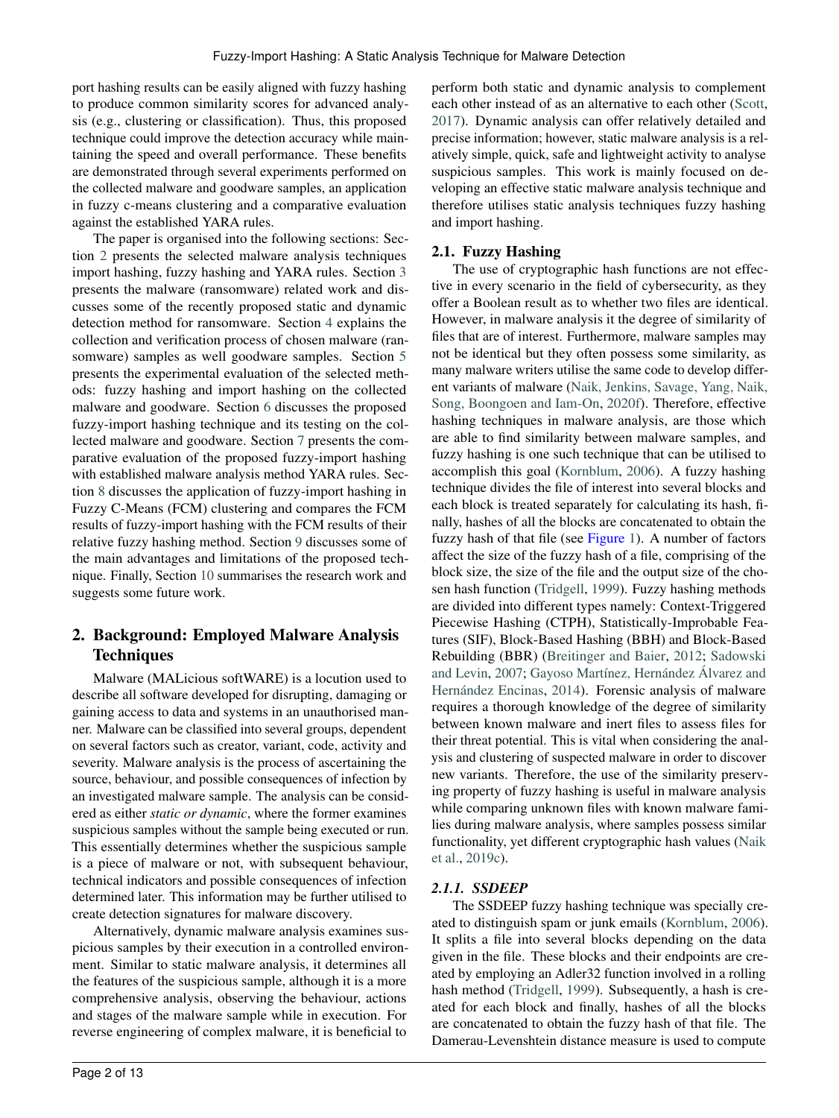port hashing results can be easily aligned with fuzzy hashing to produce common similarity scores for advanced analysis (e.g., clustering or classification). Thus, this proposed technique could improve the detection accuracy while maintaining the speed and overall performance. These benefits are demonstrated through several experiments performed on the collected malware and goodware samples, an application in fuzzy c-means clustering and a comparative evaluation against the established YARA rules.

The paper is organised into the following sections: Section [2](#page-1-0) presents the selected malware analysis techniques import hashing, fuzzy hashing and YARA rules. Section [3](#page-3-0) presents the malware (ransomware) related work and discusses some of the recently proposed static and dynamic detection method for ransomware. Section [4](#page-4-0) explains the collection and verification process of chosen malware (ransomware) samples as well goodware samples. Section [5](#page-4-1) presents the experimental evaluation of the selected methods: fuzzy hashing and import hashing on the collected malware and goodware. Section [6](#page-5-0) discusses the proposed fuzzy-import hashing technique and its testing on the collected malware and goodware. Section [7](#page-7-0) presents the comparative evaluation of the proposed fuzzy-import hashing with established malware analysis method YARA rules. Section [8](#page-8-0) discusses the application of fuzzy-import hashing in Fuzzy C-Means (FCM) clustering and compares the FCM results of fuzzy-import hashing with the FCM results of their relative fuzzy hashing method. Section [9](#page-9-0) discusses some of the main advantages and limitations of the proposed technique. Finally, Section [10](#page-11-4) summarises the research work and suggests some future work.

# <span id="page-1-0"></span>2. Background: Employed Malware Analysis **Techniques**

Malware (MALicious softWARE) is a locution used to describe all software developed for disrupting, damaging or gaining access to data and systems in an unauthorised manner. Malware can be classified into several groups, dependent on several factors such as creator, variant, code, activity and severity. Malware analysis is the process of ascertaining the source, behaviour, and possible consequences of infection by an investigated malware sample. The analysis can be considered as either *static or dynamic*, where the former examines suspicious samples without the sample being executed or run. This essentially determines whether the suspicious sample is a piece of malware or not, with subsequent behaviour, technical indicators and possible consequences of infection determined later. This information may be further utilised to create detection signatures for malware discovery.

Alternatively, dynamic malware analysis examines suspicious samples by their execution in a controlled environment. Similar to static malware analysis, it determines all the features of the suspicious sample, although it is a more comprehensive analysis, observing the behaviour, actions and stages of the malware sample while in execution. For reverse engineering of complex malware, it is beneficial to

perform both static and dynamic analysis to complement each other instead of as an alternative to each other [\(Scott,](#page-12-3) [2017\)](#page-12-3). Dynamic analysis can offer relatively detailed and precise information; however, static malware analysis is a relatively simple, quick, safe and lightweight activity to analyse suspicious samples. This work is mainly focused on developing an effective static malware analysis technique and therefore utilises static analysis techniques fuzzy hashing and import hashing.

# 2.1. Fuzzy Hashing

The use of cryptographic hash functions are not effective in every scenario in the field of cybersecurity, as they offer a Boolean result as to whether two files are identical. However, in malware analysis it the degree of similarity of files that are of interest. Furthermore, malware samples may not be identical but they often possess some similarity, as many malware writers utilise the same code to develop different variants of malware [\(Naik, Jenkins, Savage, Yang, Naik,](#page-12-4) [Song, Boongoen and Iam-On,](#page-12-4) [2020f\)](#page-12-4). Therefore, effective hashing techniques in malware analysis, are those which are able to find similarity between malware samples, and fuzzy hashing is one such technique that can be utilised to accomplish this goal [\(Kornblum,](#page-11-5) [2006\)](#page-11-5). A fuzzy hashing technique divides the file of interest into several blocks and each block is treated separately for calculating its hash, finally, hashes of all the blocks are concatenated to obtain the fuzzy hash of that file (see Figure [1\)](#page-2-0). A number of factors affect the size of the fuzzy hash of a file, comprising of the block size, the size of the file and the output size of the chosen hash function [\(Tridgell,](#page-12-5) [1999\)](#page-12-5). Fuzzy hashing methods are divided into different types namely: Context-Triggered Piecewise Hashing (CTPH), Statistically-Improbable Features (SIF), Block-Based Hashing (BBH) and Block-Based Rebuilding (BBR) [\(Breitinger and Baier,](#page-11-6) [2012;](#page-11-6) [Sadowski](#page-12-6) [and Levin,](#page-12-6) [2007;](#page-12-6) [Gayoso Martínez, Hernández Álvarez and](#page-11-7) [Hernández Encinas,](#page-11-7) [2014\)](#page-11-7). Forensic analysis of malware requires a thorough knowledge of the degree of similarity between known malware and inert files to assess files for their threat potential. This is vital when considering the analysis and clustering of suspected malware in order to discover new variants. Therefore, the use of the similarity preserving property of fuzzy hashing is useful in malware analysis while comparing unknown files with known malware families during malware analysis, where samples possess similar functionality, yet different cryptographic hash values [\(Naik](#page-11-1) [et al.,](#page-11-1) [2019c\)](#page-11-1).

# *2.1.1. SSDEEP*

The SSDEEP fuzzy hashing technique was specially created to distinguish spam or junk emails [\(Kornblum,](#page-11-5) [2006\)](#page-11-5). It splits a file into several blocks depending on the data given in the file. These blocks and their endpoints are created by employing an Adler32 function involved in a rolling hash method [\(Tridgell,](#page-12-5) [1999\)](#page-12-5). Subsequently, a hash is created for each block and finally, hashes of all the blocks are concatenated to obtain the fuzzy hash of that file. The Damerau-Levenshtein distance measure is used to compute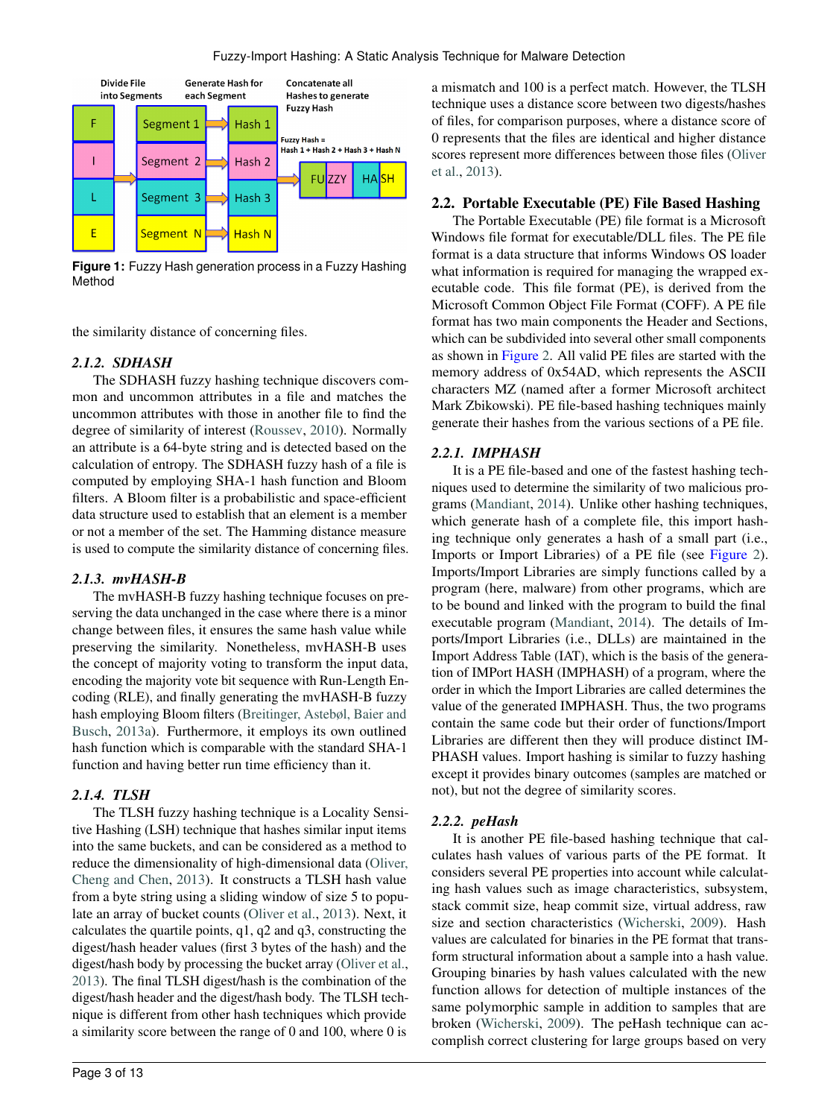

<span id="page-2-0"></span>**Figure 1:** Fuzzy Hash generation process in a Fuzzy Hashing Method

the similarity distance of concerning files.

### *2.1.2. SDHASH*

The SDHASH fuzzy hashing technique discovers common and uncommon attributes in a file and matches the uncommon attributes with those in another file to find the degree of similarity of interest [\(Roussev,](#page-12-7) [2010\)](#page-12-7). Normally an attribute is a 64-byte string and is detected based on the calculation of entropy. The SDHASH fuzzy hash of a file is computed by employing SHA-1 hash function and Bloom filters. A Bloom filter is a probabilistic and space-efficient data structure used to establish that an element is a member or not a member of the set. The Hamming distance measure is used to compute the similarity distance of concerning files.

#### *2.1.3. mvHASH-B*

The mvHASH-B fuzzy hashing technique focuses on preserving the data unchanged in the case where there is a minor change between files, it ensures the same hash value while preserving the similarity. Nonetheless, mvHASH-B uses the concept of majority voting to transform the input data, encoding the majority vote bit sequence with Run-Length Encoding (RLE), and finally generating the mvHASH-B fuzzy hash employing Bloom filters [\(Breitinger, Astebøl, Baier and](#page-11-8) [Busch,](#page-11-8) [2013a\)](#page-11-8). Furthermore, it employs its own outlined hash function which is comparable with the standard SHA-1 function and having better run time efficiency than it.

# *2.1.4. TLSH*

The TLSH fuzzy hashing technique is a Locality Sensitive Hashing (LSH) technique that hashes similar input items into the same buckets, and can be considered as a method to reduce the dimensionality of high-dimensional data [\(Oliver,](#page-12-8) [Cheng and Chen,](#page-12-8) [2013\)](#page-12-8). It constructs a TLSH hash value from a byte string using a sliding window of size 5 to populate an array of bucket counts [\(Oliver et al.,](#page-12-8) [2013\)](#page-12-8). Next, it calculates the quartile points, q1, q2 and q3, constructing the digest/hash header values (first 3 bytes of the hash) and the digest/hash body by processing the bucket array [\(Oliver et al.,](#page-12-8) [2013\)](#page-12-8). The final TLSH digest/hash is the combination of the digest/hash header and the digest/hash body. The TLSH technique is different from other hash techniques which provide a similarity score between the range of 0 and 100, where 0 is

a mismatch and 100 is a perfect match. However, the TLSH technique uses a distance score between two digests/hashes of files, for comparison purposes, where a distance score of 0 represents that the files are identical and higher distance scores represent more differences between those files [\(Oliver](#page-12-8) [et al.,](#page-12-8) [2013\)](#page-12-8).

### 2.2. Portable Executable (PE) File Based Hashing

The Portable Executable (PE) file format is a Microsoft Windows file format for executable/DLL files. The PE file format is a data structure that informs Windows OS loader what information is required for managing the wrapped executable code. This file format (PE), is derived from the Microsoft Common Object File Format (COFF). A PE file format has two main components the Header and Sections, which can be subdivided into several other small components as shown in Figure [2.](#page-3-1) All valid PE files are started with the memory address of 0x54AD, which represents the ASCII characters MZ (named after a former Microsoft architect Mark Zbikowski). PE file-based hashing techniques mainly generate their hashes from the various sections of a PE file.

### *2.2.1. IMPHASH*

It is a PE file-based and one of the fastest hashing techniques used to determine the similarity of two malicious programs [\(Mandiant,](#page-11-9) [2014\)](#page-11-9). Unlike other hashing techniques, which generate hash of a complete file, this import hashing technique only generates a hash of a small part (i.e., Imports or Import Libraries) of a PE file (see Figure [2\)](#page-3-1). Imports/Import Libraries are simply functions called by a program (here, malware) from other programs, which are to be bound and linked with the program to build the final executable program [\(Mandiant,](#page-11-9) [2014\)](#page-11-9). The details of Imports/Import Libraries (i.e., DLLs) are maintained in the Import Address Table (IAT), which is the basis of the generation of IMPort HASH (IMPHASH) of a program, where the order in which the Import Libraries are called determines the value of the generated IMPHASH. Thus, the two programs contain the same code but their order of functions/Import Libraries are different then they will produce distinct IM-PHASH values. Import hashing is similar to fuzzy hashing except it provides binary outcomes (samples are matched or not), but not the degree of similarity scores.

# *2.2.2. peHash*

It is another PE file-based hashing technique that calculates hash values of various parts of the PE format. It considers several PE properties into account while calculating hash values such as image characteristics, subsystem, stack commit size, heap commit size, virtual address, raw size and section characteristics [\(Wicherski,](#page-12-9) [2009\)](#page-12-9). Hash values are calculated for binaries in the PE format that transform structural information about a sample into a hash value. Grouping binaries by hash values calculated with the new function allows for detection of multiple instances of the same polymorphic sample in addition to samples that are broken [\(Wicherski,](#page-12-9) [2009\)](#page-12-9). The peHash technique can accomplish correct clustering for large groups based on very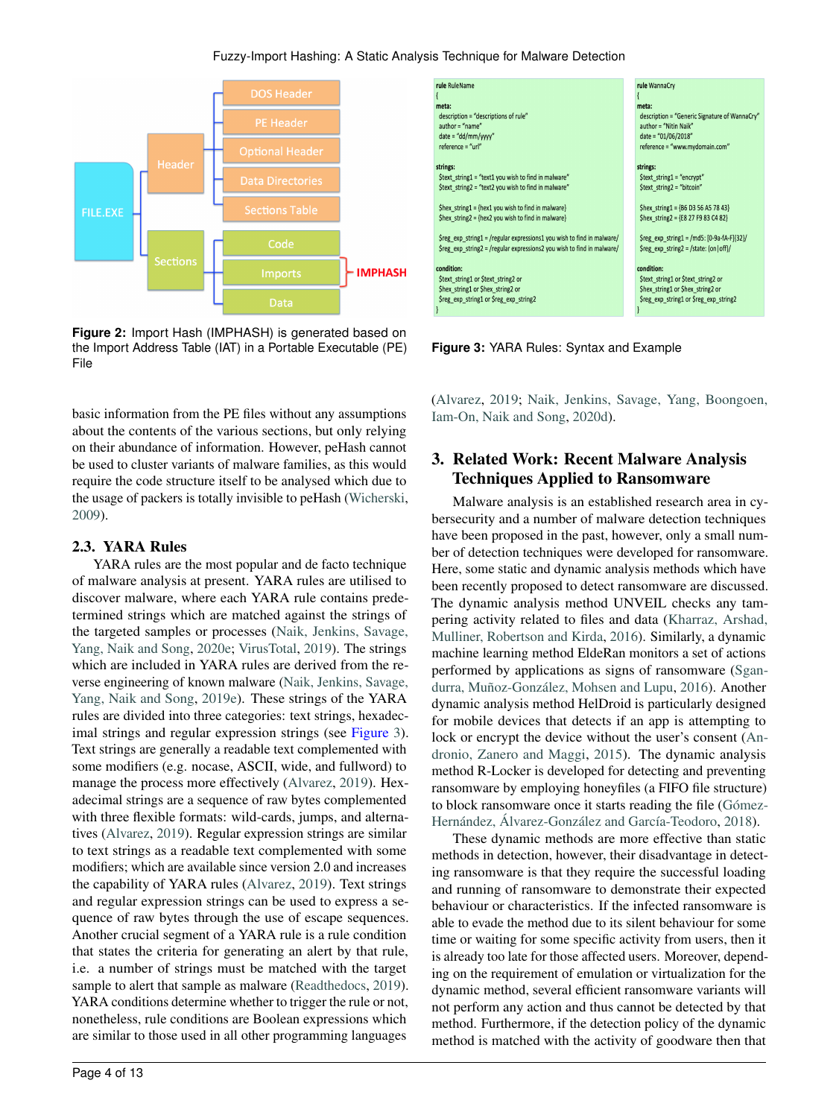#### Fuzzy-Import Hashing: A Static Analysis Technique for Malware Detection



<span id="page-3-1"></span>**Figure 2:** Import Hash (IMPHASH) is generated based on the Import Address Table (IAT) in a Portable Executable (PE) File

basic information from the PE files without any assumptions about the contents of the various sections, but only relying on their abundance of information. However, peHash cannot be used to cluster variants of malware families, as this would require the code structure itself to be analysed which due to the usage of packers is totally invisible to peHash [\(Wicherski,](#page-12-9) [2009\)](#page-12-9).

# 2.3. YARA Rules

YARA rules are the most popular and de facto technique of malware analysis at present. YARA rules are utilised to discover malware, where each YARA rule contains predetermined strings which are matched against the strings of the targeted samples or processes [\(Naik, Jenkins, Savage,](#page-12-10) [Yang, Naik and Song,](#page-12-10) [2020e;](#page-12-10) [VirusTotal,](#page-12-11) [2019\)](#page-12-11). The strings which are included in YARA rules are derived from the reverse engineering of known malware [\(Naik, Jenkins, Savage,](#page-12-12) [Yang, Naik and Song,](#page-12-12) [2019e\)](#page-12-12). These strings of the YARA rules are divided into three categories: text strings, hexadecimal strings and regular expression strings (see Figure [3\)](#page-3-2). Text strings are generally a readable text complemented with some modifiers (e.g. nocase, ASCII, wide, and fullword) to manage the process more effectively [\(Alvarez,](#page-11-10) [2019\)](#page-11-10). Hexadecimal strings are a sequence of raw bytes complemented with three flexible formats: wild-cards, jumps, and alternatives [\(Alvarez,](#page-11-10) [2019\)](#page-11-10). Regular expression strings are similar to text strings as a readable text complemented with some modifiers; which are available since version 2.0 and increases the capability of YARA rules [\(Alvarez,](#page-11-10) [2019\)](#page-11-10). Text strings and regular expression strings can be used to express a sequence of raw bytes through the use of escape sequences. Another crucial segment of a YARA rule is a rule condition that states the criteria for generating an alert by that rule, i.e. a number of strings must be matched with the target sample to alert that sample as malware [\(Readthedocs,](#page-12-13) [2019\)](#page-12-13). YARA conditions determine whether to trigger the rule or not, nonetheless, rule conditions are Boolean expressions which are similar to those used in all other programming languages



<span id="page-3-2"></span>**Figure 3:** YARA Rules: Syntax and Example

[\(Alvarez,](#page-11-10) [2019;](#page-11-10) [Naik, Jenkins, Savage, Yang, Boongoen,](#page-12-14) [Iam-On, Naik and Song,](#page-12-14) [2020d\)](#page-12-14).

# <span id="page-3-0"></span>3. Related Work: Recent Malware Analysis Techniques Applied to Ransomware

Malware analysis is an established research area in cybersecurity and a number of malware detection techniques have been proposed in the past, however, only a small number of detection techniques were developed for ransomware. Here, some static and dynamic analysis methods which have been recently proposed to detect ransomware are discussed. The dynamic analysis method UNVEIL checks any tampering activity related to files and data [\(Kharraz, Arshad,](#page-11-11) [Mulliner, Robertson and Kirda,](#page-11-11) [2016\)](#page-11-11). Similarly, a dynamic machine learning method EldeRan monitors a set of actions performed by applications as signs of ransomware [\(Sgan](#page-12-15)[durra, Muñoz-González, Mohsen and Lupu,](#page-12-15) [2016\)](#page-12-15). Another dynamic analysis method HelDroid is particularly designed for mobile devices that detects if an app is attempting to lock or encrypt the device without the user's consent [\(An](#page-11-12)[dronio, Zanero and Maggi,](#page-11-12) [2015\)](#page-11-12). The dynamic analysis method R-Locker is developed for detecting and preventing ransomware by employing honeyfiles (a FIFO file structure) to block ransomware once it starts reading the file [\(Gómez-](#page-11-13)[Hernández, Álvarez-González and García-Teodoro,](#page-11-13) [2018\)](#page-11-13).

These dynamic methods are more effective than static methods in detection, however, their disadvantage in detecting ransomware is that they require the successful loading and running of ransomware to demonstrate their expected behaviour or characteristics. If the infected ransomware is able to evade the method due to its silent behaviour for some time or waiting for some specific activity from users, then it is already too late for those affected users. Moreover, depending on the requirement of emulation or virtualization for the dynamic method, several efficient ransomware variants will not perform any action and thus cannot be detected by that method. Furthermore, if the detection policy of the dynamic method is matched with the activity of goodware then that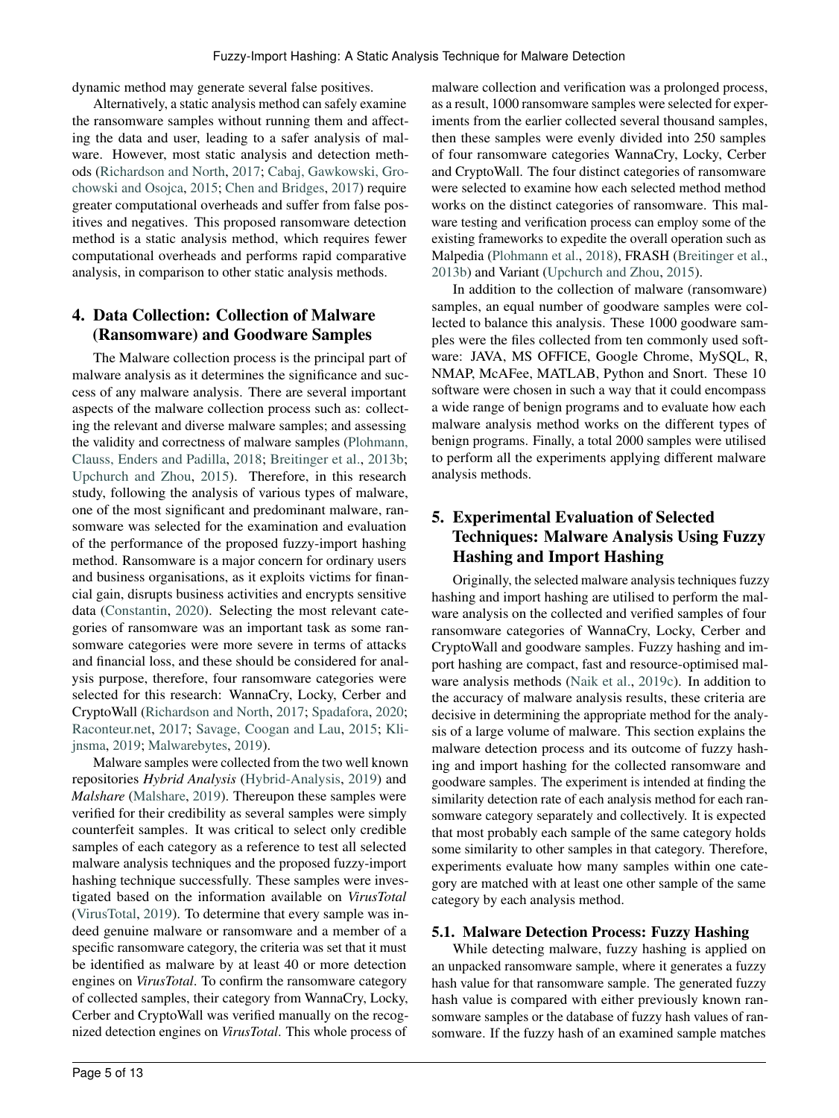dynamic method may generate several false positives.

Alternatively, a static analysis method can safely examine the ransomware samples without running them and affecting the data and user, leading to a safer analysis of malware. However, most static analysis and detection methods [\(Richardson and North,](#page-12-16) [2017;](#page-12-16) [Cabaj, Gawkowski, Gro](#page-11-14)[chowski and Osojca,](#page-11-14) [2015;](#page-11-14) [Chen and Bridges,](#page-11-15) [2017\)](#page-11-15) require greater computational overheads and suffer from false positives and negatives. This proposed ransomware detection method is a static analysis method, which requires fewer computational overheads and performs rapid comparative analysis, in comparison to other static analysis methods.

# <span id="page-4-0"></span>4. Data Collection: Collection of Malware (Ransomware) and Goodware Samples

The Malware collection process is the principal part of malware analysis as it determines the significance and success of any malware analysis. There are several important aspects of the malware collection process such as: collecting the relevant and diverse malware samples; and assessing the validity and correctness of malware samples [\(Plohmann,](#page-12-17) [Clauss, Enders and Padilla,](#page-12-17) [2018;](#page-12-17) [Breitinger et al.,](#page-11-2) [2013b;](#page-11-2) [Upchurch and Zhou,](#page-12-18) [2015\)](#page-12-18). Therefore, in this research study, following the analysis of various types of malware, one of the most significant and predominant malware, ransomware was selected for the examination and evaluation of the performance of the proposed fuzzy-import hashing method. Ransomware is a major concern for ordinary users and business organisations, as it exploits victims for financial gain, disrupts business activities and encrypts sensitive data [\(Constantin,](#page-11-16) [2020\)](#page-11-16). Selecting the most relevant categories of ransomware was an important task as some ransomware categories were more severe in terms of attacks and financial loss, and these should be considered for analysis purpose, therefore, four ransomware categories were selected for this research: WannaCry, Locky, Cerber and CryptoWall [\(Richardson and North,](#page-12-16) [2017;](#page-12-16) [Spadafora,](#page-12-19) [2020;](#page-12-19) [Raconteur.net,](#page-12-20) [2017;](#page-12-20) [Savage, Coogan and Lau,](#page-12-21) [2015;](#page-12-21) [Kli](#page-11-17)[jnsma,](#page-11-17) [2019;](#page-11-17) [Malwarebytes,](#page-11-18) [2019\)](#page-11-18).

Malware samples were collected from the two well known repositories *Hybrid Analysis* [\(Hybrid-Analysis,](#page-11-19) [2019\)](#page-11-19) and *Malshare* [\(Malshare,](#page-11-20) [2019\)](#page-11-20). Thereupon these samples were verified for their credibility as several samples were simply counterfeit samples. It was critical to select only credible samples of each category as a reference to test all selected malware analysis techniques and the proposed fuzzy-import hashing technique successfully. These samples were investigated based on the information available on *VirusTotal* [\(VirusTotal,](#page-12-22) [2019\)](#page-12-22). To determine that every sample was indeed genuine malware or ransomware and a member of a specific ransomware category, the criteria was set that it must be identified as malware by at least 40 or more detection engines on *VirusTotal*. To confirm the ransomware category of collected samples, their category from WannaCry, Locky, Cerber and CryptoWall was verified manually on the recognized detection engines on *VirusTotal*. This whole process of

malware collection and verification was a prolonged process, as a result, 1000 ransomware samples were selected for experiments from the earlier collected several thousand samples, then these samples were evenly divided into 250 samples of four ransomware categories WannaCry, Locky, Cerber and CryptoWall. The four distinct categories of ransomware were selected to examine how each selected method method works on the distinct categories of ransomware. This malware testing and verification process can employ some of the existing frameworks to expedite the overall operation such as Malpedia [\(Plohmann et al.,](#page-12-17) [2018\)](#page-12-17), FRASH [\(Breitinger et al.,](#page-11-2) [2013b\)](#page-11-2) and Variant [\(Upchurch and Zhou,](#page-12-18) [2015\)](#page-12-18).

In addition to the collection of malware (ransomware) samples, an equal number of goodware samples were collected to balance this analysis. These 1000 goodware samples were the files collected from ten commonly used software: JAVA, MS OFFICE, Google Chrome, MySQL, R, NMAP, McAFee, MATLAB, Python and Snort. These 10 software were chosen in such a way that it could encompass a wide range of benign programs and to evaluate how each malware analysis method works on the different types of benign programs. Finally, a total 2000 samples were utilised to perform all the experiments applying different malware analysis methods.

# <span id="page-4-1"></span>5. Experimental Evaluation of Selected Techniques: Malware Analysis Using Fuzzy Hashing and Import Hashing

Originally, the selected malware analysis techniques fuzzy hashing and import hashing are utilised to perform the malware analysis on the collected and verified samples of four ransomware categories of WannaCry, Locky, Cerber and CryptoWall and goodware samples. Fuzzy hashing and import hashing are compact, fast and resource-optimised malware analysis methods [\(Naik et al.,](#page-11-1) [2019c\)](#page-11-1). In addition to the accuracy of malware analysis results, these criteria are decisive in determining the appropriate method for the analysis of a large volume of malware. This section explains the malware detection process and its outcome of fuzzy hashing and import hashing for the collected ransomware and goodware samples. The experiment is intended at finding the similarity detection rate of each analysis method for each ransomware category separately and collectively. It is expected that most probably each sample of the same category holds some similarity to other samples in that category. Therefore, experiments evaluate how many samples within one category are matched with at least one other sample of the same category by each analysis method.

#### 5.1. Malware Detection Process: Fuzzy Hashing

While detecting malware, fuzzy hashing is applied on an unpacked ransomware sample, where it generates a fuzzy hash value for that ransomware sample. The generated fuzzy hash value is compared with either previously known ransomware samples or the database of fuzzy hash values of ransomware. If the fuzzy hash of an examined sample matches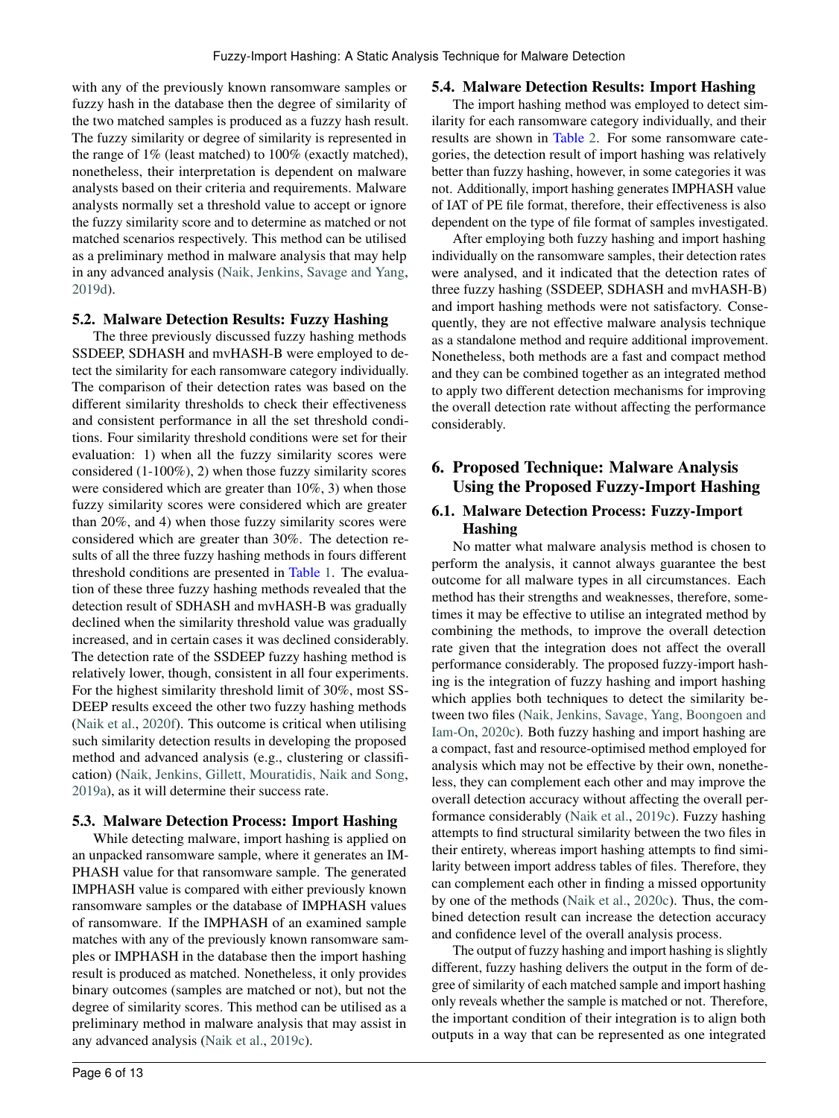with any of the previously known ransomware samples or fuzzy hash in the database then the degree of similarity of the two matched samples is produced as a fuzzy hash result. The fuzzy similarity or degree of similarity is represented in the range of 1% (least matched) to 100% (exactly matched), nonetheless, their interpretation is dependent on malware analysts based on their criteria and requirements. Malware analysts normally set a threshold value to accept or ignore the fuzzy similarity score and to determine as matched or not matched scenarios respectively. This method can be utilised as a preliminary method in malware analysis that may help in any advanced analysis [\(Naik, Jenkins, Savage and Yang,](#page-12-23) [2019d\)](#page-12-23).

#### 5.2. Malware Detection Results: Fuzzy Hashing

The three previously discussed fuzzy hashing methods SSDEEP, SDHASH and mvHASH-B were employed to detect the similarity for each ransomware category individually. The comparison of their detection rates was based on the different similarity thresholds to check their effectiveness and consistent performance in all the set threshold conditions. Four similarity threshold conditions were set for their evaluation: 1) when all the fuzzy similarity scores were considered (1-100%), 2) when those fuzzy similarity scores were considered which are greater than 10%, 3) when those fuzzy similarity scores were considered which are greater than 20%, and 4) when those fuzzy similarity scores were considered which are greater than 30%. The detection results of all the three fuzzy hashing methods in fours different threshold conditions are presented in Table [1.](#page-6-0) The evaluation of these three fuzzy hashing methods revealed that the detection result of SDHASH and mvHASH-B was gradually declined when the similarity threshold value was gradually increased, and in certain cases it was declined considerably. The detection rate of the SSDEEP fuzzy hashing method is relatively lower, though, consistent in all four experiments. For the highest similarity threshold limit of 30%, most SS-DEEP results exceed the other two fuzzy hashing methods [\(Naik et al.,](#page-12-4) [2020f\)](#page-12-4). This outcome is critical when utilising such similarity detection results in developing the proposed method and advanced analysis (e.g., clustering or classification) [\(Naik, Jenkins, Gillett, Mouratidis, Naik and Song,](#page-11-21) [2019a\)](#page-11-21), as it will determine their success rate.

#### 5.3. Malware Detection Process: Import Hashing

While detecting malware, import hashing is applied on an unpacked ransomware sample, where it generates an IM-PHASH value for that ransomware sample. The generated IMPHASH value is compared with either previously known ransomware samples or the database of IMPHASH values of ransomware. If the IMPHASH of an examined sample matches with any of the previously known ransomware samples or IMPHASH in the database then the import hashing result is produced as matched. Nonetheless, it only provides binary outcomes (samples are matched or not), but not the degree of similarity scores. This method can be utilised as a preliminary method in malware analysis that may assist in any advanced analysis [\(Naik et al.,](#page-11-1) [2019c\)](#page-11-1).

# 5.4. Malware Detection Results: Import Hashing

The import hashing method was employed to detect similarity for each ransomware category individually, and their results are shown in Table [2.](#page-6-1) For some ransomware categories, the detection result of import hashing was relatively better than fuzzy hashing, however, in some categories it was not. Additionally, import hashing generates IMPHASH value of IAT of PE file format, therefore, their effectiveness is also dependent on the type of file format of samples investigated.

After employing both fuzzy hashing and import hashing individually on the ransomware samples, their detection rates were analysed, and it indicated that the detection rates of three fuzzy hashing (SSDEEP, SDHASH and mvHASH-B) and import hashing methods were not satisfactory. Consequently, they are not effective malware analysis technique as a standalone method and require additional improvement. Nonetheless, both methods are a fast and compact method and they can be combined together as an integrated method to apply two different detection mechanisms for improving the overall detection rate without affecting the performance considerably.

# <span id="page-5-0"></span>6. Proposed Technique: Malware Analysis Using the Proposed Fuzzy-Import Hashing

# 6.1. Malware Detection Process: Fuzzy-Import Hashing

No matter what malware analysis method is chosen to perform the analysis, it cannot always guarantee the best outcome for all malware types in all circumstances. Each method has their strengths and weaknesses, therefore, sometimes it may be effective to utilise an integrated method by combining the methods, to improve the overall detection rate given that the integration does not affect the overall performance considerably. The proposed fuzzy-import hashing is the integration of fuzzy hashing and import hashing which applies both techniques to detect the similarity between two files [\(Naik, Jenkins, Savage, Yang, Boongoen and](#page-12-24) [Iam-On,](#page-12-24) [2020c\)](#page-12-24). Both fuzzy hashing and import hashing are a compact, fast and resource-optimised method employed for analysis which may not be effective by their own, nonetheless, they can complement each other and may improve the overall detection accuracy without affecting the overall performance considerably [\(Naik et al.,](#page-11-1) [2019c\)](#page-11-1). Fuzzy hashing attempts to find structural similarity between the two files in their entirety, whereas import hashing attempts to find similarity between import address tables of files. Therefore, they can complement each other in finding a missed opportunity by one of the methods [\(Naik et al.,](#page-12-24) [2020c\)](#page-12-24). Thus, the combined detection result can increase the detection accuracy and confidence level of the overall analysis process.

The output of fuzzy hashing and import hashing is slightly different, fuzzy hashing delivers the output in the form of degree of similarity of each matched sample and import hashing only reveals whether the sample is matched or not. Therefore, the important condition of their integration is to align both outputs in a way that can be represented as one integrated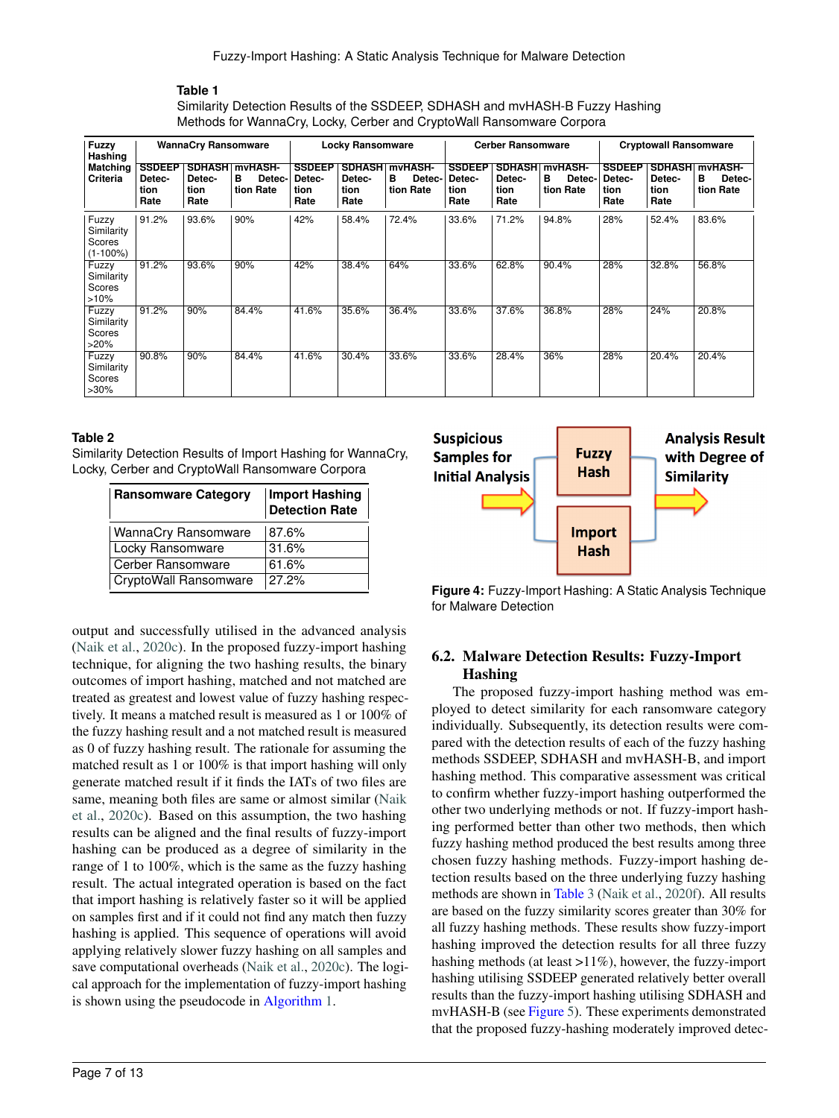<span id="page-6-0"></span>Similarity Detection Results of the SSDEEP, SDHASH and mvHASH-B Fuzzy Hashing Methods for WannaCry, Locky, Cerber and CryptoWall Ransomware Corpora

| Fuzzy<br>Hashing                             | <b>WannaCry Ransomware</b>              |                        |                                                   |                                         | <b>Locky Ransomware</b> |                                                   |                                         | <b>Cerber Ransomware</b> |                                                   |                                         | <b>Cryptowall Ransomware</b>            |                                     |
|----------------------------------------------|-----------------------------------------|------------------------|---------------------------------------------------|-----------------------------------------|-------------------------|---------------------------------------------------|-----------------------------------------|--------------------------|---------------------------------------------------|-----------------------------------------|-----------------------------------------|-------------------------------------|
| <b>Matching</b><br>Criteria                  | <b>SSDEEP</b><br>Detec-<br>tion<br>Rate | Detec-<br>tion<br>Rate | <b>SDHASH myHASH-</b><br>в<br>Detec-<br>tion Rate | <b>SSDEEP</b><br>Detec-<br>tion<br>Rate | Detec-<br>tion<br>Rate  | <b>SDHASH myHASH-</b><br>в<br>Detec-<br>tion Rate | <b>SSDEEP</b><br>Detec-<br>tion<br>Rate | Detec-<br>tion<br>Rate   | <b>SDHASH myHASH-</b><br>в<br>Detec-<br>tion Rate | <b>SSDEEP</b><br>Detec-<br>tion<br>Rate | <b>SDHASH</b><br>Detec-<br>tion<br>Rate | mvHASH-<br>в<br>Detec-<br>tion Rate |
| Fuzzy<br>Similarity<br>Scores<br>$(1-100\%)$ | 91.2%                                   | 93.6%                  | 90%                                               | 42%                                     | 58.4%                   | 72.4%                                             | 33.6%                                   | 71.2%                    | 94.8%                                             | 28%                                     | 52.4%                                   | 83.6%                               |
| Fuzzy<br>Similarity<br>Scores<br>>10%        | 91.2%                                   | 93.6%                  | 90%                                               | 42%                                     | 38.4%                   | 64%                                               | 33.6%                                   | 62.8%                    | 90.4%                                             | 28%                                     | 32.8%                                   | 56.8%                               |
| Fuzzy<br>Similarity<br>Scores<br>>20%        | 91.2%                                   | 90%                    | 84.4%                                             | 41.6%                                   | 35.6%                   | 36.4%                                             | 33.6%                                   | 37.6%                    | 36.8%                                             | 28%                                     | 24%                                     | 20.8%                               |
| Fuzzy<br>Similarity<br>Scores<br>$>30\%$     | 90.8%                                   | 90%                    | 84.4%                                             | 41.6%                                   | 30.4%                   | 33.6%                                             | 33.6%                                   | 28.4%                    | 36%                                               | 28%                                     | 20.4%                                   | 20.4%                               |

#### **Table 2**

<span id="page-6-1"></span>Similarity Detection Results of Import Hashing for WannaCry, Locky, Cerber and CryptoWall Ransomware Corpora

| <b>Ransomware Category</b>   | <b>Import Hashing</b><br><b>Detection Rate</b> |  |  |  |
|------------------------------|------------------------------------------------|--|--|--|
| <b>WannaCry Ransomware</b>   | 87.6%                                          |  |  |  |
| <b>Locky Ransomware</b>      | 31.6%                                          |  |  |  |
| Cerber Ransomware            | 61.6%                                          |  |  |  |
| <b>CryptoWall Ransomware</b> | 27.2%                                          |  |  |  |

output and successfully utilised in the advanced analysis [\(Naik et al.,](#page-12-24) [2020c\)](#page-12-24). In the proposed fuzzy-import hashing technique, for aligning the two hashing results, the binary outcomes of import hashing, matched and not matched are treated as greatest and lowest value of fuzzy hashing respectively. It means a matched result is measured as 1 or 100% of the fuzzy hashing result and a not matched result is measured as 0 of fuzzy hashing result. The rationale for assuming the matched result as 1 or 100% is that import hashing will only generate matched result if it finds the IATs of two files are same, meaning both files are same or almost similar [\(Naik](#page-12-24) [et al.,](#page-12-24) [2020c\)](#page-12-24). Based on this assumption, the two hashing results can be aligned and the final results of fuzzy-import hashing can be produced as a degree of similarity in the range of 1 to 100%, which is the same as the fuzzy hashing result. The actual integrated operation is based on the fact that import hashing is relatively faster so it will be applied on samples first and if it could not find any match then fuzzy hashing is applied. This sequence of operations will avoid applying relatively slower fuzzy hashing on all samples and save computational overheads [\(Naik et al.,](#page-12-24) [2020c\)](#page-12-24). The logical approach for the implementation of fuzzy-import hashing is shown using the pseudocode in Algorithm [1.](#page-7-1)



**Figure 4:** Fuzzy-Import Hashing: A Static Analysis Technique for Malware Detection

# 6.2. Malware Detection Results: Fuzzy-Import Hashing

The proposed fuzzy-import hashing method was employed to detect similarity for each ransomware category individually. Subsequently, its detection results were compared with the detection results of each of the fuzzy hashing methods SSDEEP, SDHASH and mvHASH-B, and import hashing method. This comparative assessment was critical to confirm whether fuzzy-import hashing outperformed the other two underlying methods or not. If fuzzy-import hashing performed better than other two methods, then which fuzzy hashing method produced the best results among three chosen fuzzy hashing methods. Fuzzy-import hashing detection results based on the three underlying fuzzy hashing methods are shown in Table [3](#page-8-1) [\(Naik et al.,](#page-12-4) [2020f\)](#page-12-4). All results are based on the fuzzy similarity scores greater than 30% for all fuzzy hashing methods. These results show fuzzy-import hashing improved the detection results for all three fuzzy hashing methods (at least >11%), however, the fuzzy-import hashing utilising SSDEEP generated relatively better overall results than the fuzzy-import hashing utilising SDHASH and mvHASH-B (see Figure [5\)](#page-7-2). These experiments demonstrated that the proposed fuzzy-hashing moderately improved detec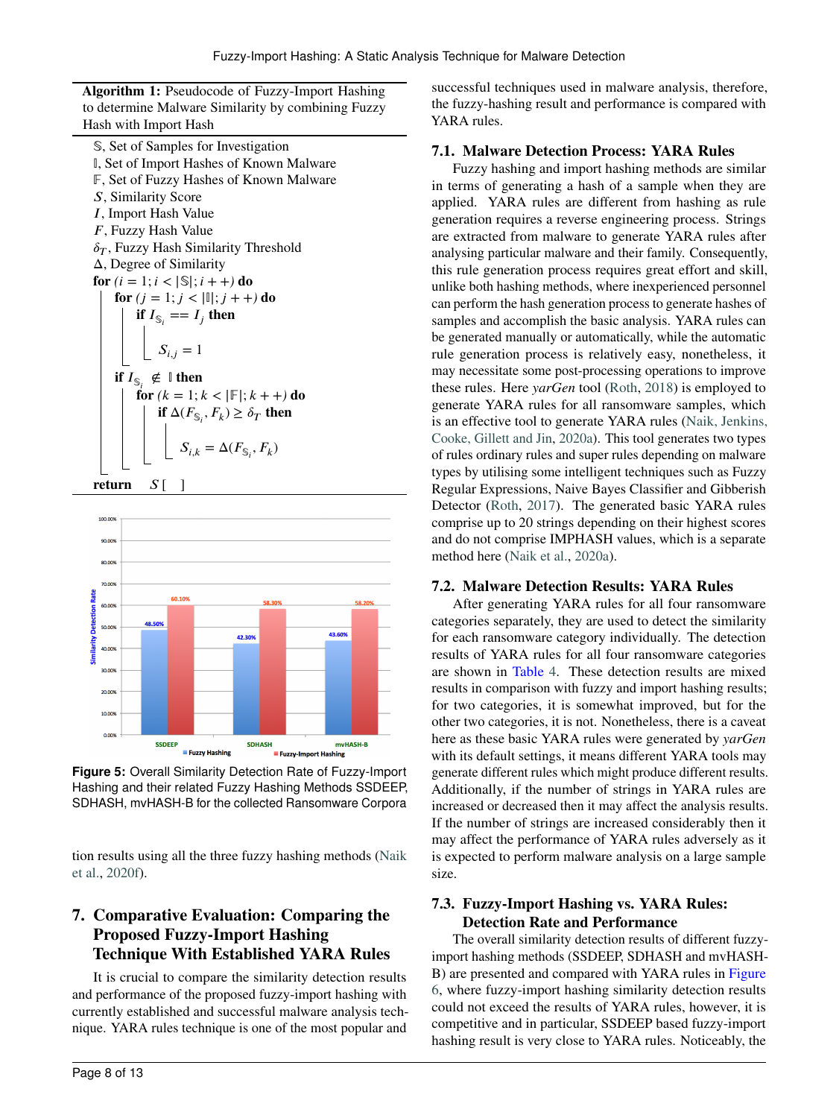Algorithm 1: Pseudocode of Fuzzy-Import Hashing to determine Malware Similarity by combining Fuzzy Hash with Import Hash

𝕊, Set of Samples for Investigation 𝕀, Set of Import Hashes of Known Malware 𝔽 , Set of Fuzzy Hashes of Known Malware *𝑆*, Similarity Score *𝐼*, Import Hash Value *𝐹*, Fuzzy Hash Value  $\delta_T$ , Fuzzy Hash Similarity Threshold Δ, Degree of Similarity for  $(i = 1; i < |\mathbb{S}|; i + +)$  do for  $(j = 1; j < |I|; j + +)$  do if  $I_{\mathbb{S}_i} == I_j$  then  $S_{i,j} = 1$ if  $I_{\mathbb{S}_i}$   $\notin$   $\mathbb {I}$  then  $f$ **or**  $(k = 1; k < |\mathbb{F}|; k + +)$ **do** if  $\Delta(F_{\mathbb{S}_i}, F_k) \geq \delta_T$  then  $S_{i,k} = \Delta(F_{\mathbb{S}_i}, F_k)$ return *S*[ ]

<span id="page-7-1"></span>

<span id="page-7-2"></span>**Figure 5:** Overall Similarity Detection Rate of Fuzzy-Import Hashing and their related Fuzzy Hashing Methods SSDEEP, SDHASH, mvHASH-B for the collected Ransomware Corpora

tion results using all the three fuzzy hashing methods [\(Naik](#page-12-4) [et al.,](#page-12-4) [2020f\)](#page-12-4).

# <span id="page-7-0"></span>7. Comparative Evaluation: Comparing the Proposed Fuzzy-Import Hashing Technique With Established YARA Rules

It is crucial to compare the similarity detection results and performance of the proposed fuzzy-import hashing with currently established and successful malware analysis technique. YARA rules technique is one of the most popular and

successful techniques used in malware analysis, therefore, the fuzzy-hashing result and performance is compared with YARA rules.

### 7.1. Malware Detection Process: YARA Rules

Fuzzy hashing and import hashing methods are similar in terms of generating a hash of a sample when they are applied. YARA rules are different from hashing as rule generation requires a reverse engineering process. Strings are extracted from malware to generate YARA rules after analysing particular malware and their family. Consequently, this rule generation process requires great effort and skill, unlike both hashing methods, where inexperienced personnel can perform the hash generation process to generate hashes of samples and accomplish the basic analysis. YARA rules can be generated manually or automatically, while the automatic rule generation process is relatively easy, nonetheless, it may necessitate some post-processing operations to improve these rules. Here *yarGen* tool [\(Roth,](#page-12-25) [2018\)](#page-12-25) is employed to generate YARA rules for all ransomware samples, which is an effective tool to generate YARA rules [\(Naik, Jenkins,](#page-11-22) [Cooke, Gillett and Jin,](#page-11-22) [2020a\)](#page-11-22). This tool generates two types of rules ordinary rules and super rules depending on malware types by utilising some intelligent techniques such as Fuzzy Regular Expressions, Naive Bayes Classifier and Gibberish Detector [\(Roth,](#page-12-26) [2017\)](#page-12-26). The generated basic YARA rules comprise up to 20 strings depending on their highest scores and do not comprise IMPHASH values, which is a separate method here [\(Naik et al.,](#page-11-22) [2020a\)](#page-11-22).

#### 7.2. Malware Detection Results: YARA Rules

After generating YARA rules for all four ransomware categories separately, they are used to detect the similarity for each ransomware category individually. The detection results of YARA rules for all four ransomware categories are shown in Table [4.](#page-8-2) These detection results are mixed results in comparison with fuzzy and import hashing results; for two categories, it is somewhat improved, but for the other two categories, it is not. Nonetheless, there is a caveat here as these basic YARA rules were generated by *yarGen* with its default settings, it means different YARA tools may generate different rules which might produce different results. Additionally, if the number of strings in YARA rules are increased or decreased then it may affect the analysis results. If the number of strings are increased considerably then it may affect the performance of YARA rules adversely as it is expected to perform malware analysis on a large sample size.

# 7.3. Fuzzy-Import Hashing vs. YARA Rules: Detection Rate and Performance

The overall similarity detection results of different fuzzyimport hashing methods (SSDEEP, SDHASH and mvHASH-B) are presented and compared with YARA rules in Figure [6,](#page-8-3) where fuzzy-import hashing similarity detection results could not exceed the results of YARA rules, however, it is competitive and in particular, SSDEEP based fuzzy-import hashing result is very close to YARA rules. Noticeably, the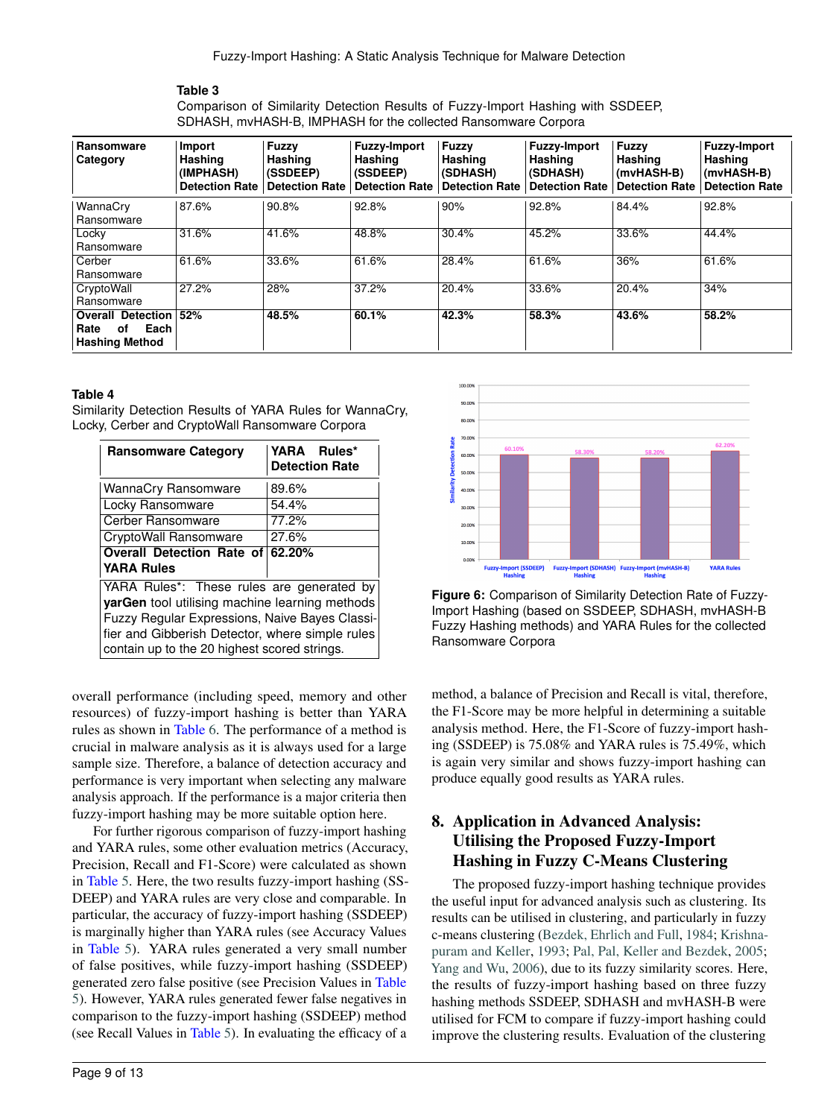<span id="page-8-1"></span>Comparison of Similarity Detection Results of Fuzzy-Import Hashing with SSDEEP, SDHASH, mvHASH-B, IMPHASH for the collected Ransomware Corpora

| Ransomware<br>Category                                                  | Import<br>Hashing<br>(IMPHASH)<br>Detection Rate | Fuzzy<br>Hashing<br>(SSDEEP)<br><b>Detection Rate</b> | <b>Fuzzy-Import</b><br>Hashing<br>(SSDEEP)<br><b>Detection Rate</b> | Fuzzy<br>Hashing<br>(SDHASH)<br><b>Detection Rate</b> | <b>Fuzzy-Import</b><br>Hashing<br>(SDHASH)<br><b>Detection Rate</b> | Fuzzy<br>Hashing<br>(mvHASH-B)<br><b>Detection Rate</b> | <b>Fuzzy-Import</b><br>Hashing<br>(mvHASH-B)<br><b>Detection Rate</b> |
|-------------------------------------------------------------------------|--------------------------------------------------|-------------------------------------------------------|---------------------------------------------------------------------|-------------------------------------------------------|---------------------------------------------------------------------|---------------------------------------------------------|-----------------------------------------------------------------------|
| WannaCry                                                                | 87.6%                                            | 90.8%                                                 | 92.8%                                                               | 90%                                                   | 92.8%                                                               | 84.4%                                                   | 92.8%                                                                 |
| Ransomware                                                              |                                                  |                                                       |                                                                     |                                                       |                                                                     |                                                         |                                                                       |
| Locky                                                                   | 31.6%                                            | 41.6%                                                 | 48.8%                                                               | 30.4%                                                 | 45.2%                                                               | 33.6%                                                   | 44.4%                                                                 |
| Ransomware                                                              |                                                  |                                                       |                                                                     |                                                       |                                                                     |                                                         |                                                                       |
| Cerber                                                                  | 61.6%                                            | 33.6%                                                 | 61.6%                                                               | 28.4%                                                 | 61.6%                                                               | 36%                                                     | 61.6%                                                                 |
| Ransomware                                                              |                                                  |                                                       |                                                                     |                                                       |                                                                     |                                                         |                                                                       |
| CryptoWall                                                              | 27.2%                                            | 28%                                                   | 37.2%                                                               | 20.4%                                                 | 33.6%                                                               | 20.4%                                                   | 34%                                                                   |
| Ransomware                                                              |                                                  |                                                       |                                                                     |                                                       |                                                                     |                                                         |                                                                       |
| <b>Overall Detection</b><br>Each<br>οf<br>Rate<br><b>Hashing Method</b> | 52%                                              | 48.5%                                                 | 60.1%                                                               | 42.3%                                                 | 58.3%                                                               | 43.6%                                                   | 58.2%                                                                 |

#### **Table 4**

<span id="page-8-2"></span>Similarity Detection Results of YARA Rules for WannaCry, Locky, Cerber and CryptoWall Ransomware Corpora

| <b>Ransomware Category</b>                                                                                                                                                                                                                       | YARA Rules*<br><b>Detection Rate</b> |  |  |  |  |  |  |
|--------------------------------------------------------------------------------------------------------------------------------------------------------------------------------------------------------------------------------------------------|--------------------------------------|--|--|--|--|--|--|
| WannaCry Ransomware                                                                                                                                                                                                                              | 89.6%                                |  |  |  |  |  |  |
| Locky Ransomware                                                                                                                                                                                                                                 | 54.4%                                |  |  |  |  |  |  |
| Cerber Ransomware                                                                                                                                                                                                                                | 77.2%                                |  |  |  |  |  |  |
| CryptoWall Ransomware                                                                                                                                                                                                                            | 27.6%                                |  |  |  |  |  |  |
| Overall Detection Rate of 62,20%                                                                                                                                                                                                                 |                                      |  |  |  |  |  |  |
| <b>YARA Rules</b>                                                                                                                                                                                                                                |                                      |  |  |  |  |  |  |
| YARA Rules*: These rules are generated by<br>yarGen tool utilising machine learning methods<br>Fuzzy Regular Expressions, Naive Bayes Classi-<br>fier and Gibberish Detector, where simple rules<br>contain up to the 20 highest scored strings. |                                      |  |  |  |  |  |  |

overall performance (including speed, memory and other resources) of fuzzy-import hashing is better than YARA rules as shown in Table [6.](#page-9-1) The performance of a method is crucial in malware analysis as it is always used for a large sample size. Therefore, a balance of detection accuracy and performance is very important when selecting any malware analysis approach. If the performance is a major criteria then fuzzy-import hashing may be more suitable option here.

For further rigorous comparison of fuzzy-import hashing and YARA rules, some other evaluation metrics (Accuracy, Precision, Recall and F1-Score) were calculated as shown in Table [5.](#page-9-2) Here, the two results fuzzy-import hashing (SS-DEEP) and YARA rules are very close and comparable. In particular, the accuracy of fuzzy-import hashing (SSDEEP) is marginally higher than YARA rules (see Accuracy Values in Table [5\)](#page-9-2). YARA rules generated a very small number of false positives, while fuzzy-import hashing (SSDEEP) generated zero false positive (see Precision Values in Table [5\)](#page-9-2). However, YARA rules generated fewer false negatives in comparison to the fuzzy-import hashing (SSDEEP) method (see Recall Values in Table [5\)](#page-9-2). In evaluating the efficacy of a



<span id="page-8-3"></span>**Figure 6:** Comparison of Similarity Detection Rate of Fuzzy-Import Hashing (based on SSDEEP, SDHASH, mvHASH-B Fuzzy Hashing methods) and YARA Rules for the collected Ransomware Corpora

method, a balance of Precision and Recall is vital, therefore, the F1-Score may be more helpful in determining a suitable analysis method. Here, the F1-Score of fuzzy-import hashing (SSDEEP) is 75.08% and YARA rules is 75.49%, which is again very similar and shows fuzzy-import hashing can produce equally good results as YARA rules.

# <span id="page-8-0"></span>8. Application in Advanced Analysis: Utilising the Proposed Fuzzy-Import Hashing in Fuzzy C-Means Clustering

The proposed fuzzy-import hashing technique provides the useful input for advanced analysis such as clustering. Its results can be utilised in clustering, and particularly in fuzzy c-means clustering [\(Bezdek, Ehrlich and Full,](#page-11-23) [1984;](#page-11-23) [Krishna](#page-11-24)[puram and Keller,](#page-11-24) [1993;](#page-11-24) [Pal, Pal, Keller and Bezdek,](#page-12-27) [2005;](#page-12-27) [Yang and Wu,](#page-12-28) [2006\)](#page-12-28), due to its fuzzy similarity scores. Here, the results of fuzzy-import hashing based on three fuzzy hashing methods SSDEEP, SDHASH and mvHASH-B were utilised for FCM to compare if fuzzy-import hashing could improve the clustering results. Evaluation of the clustering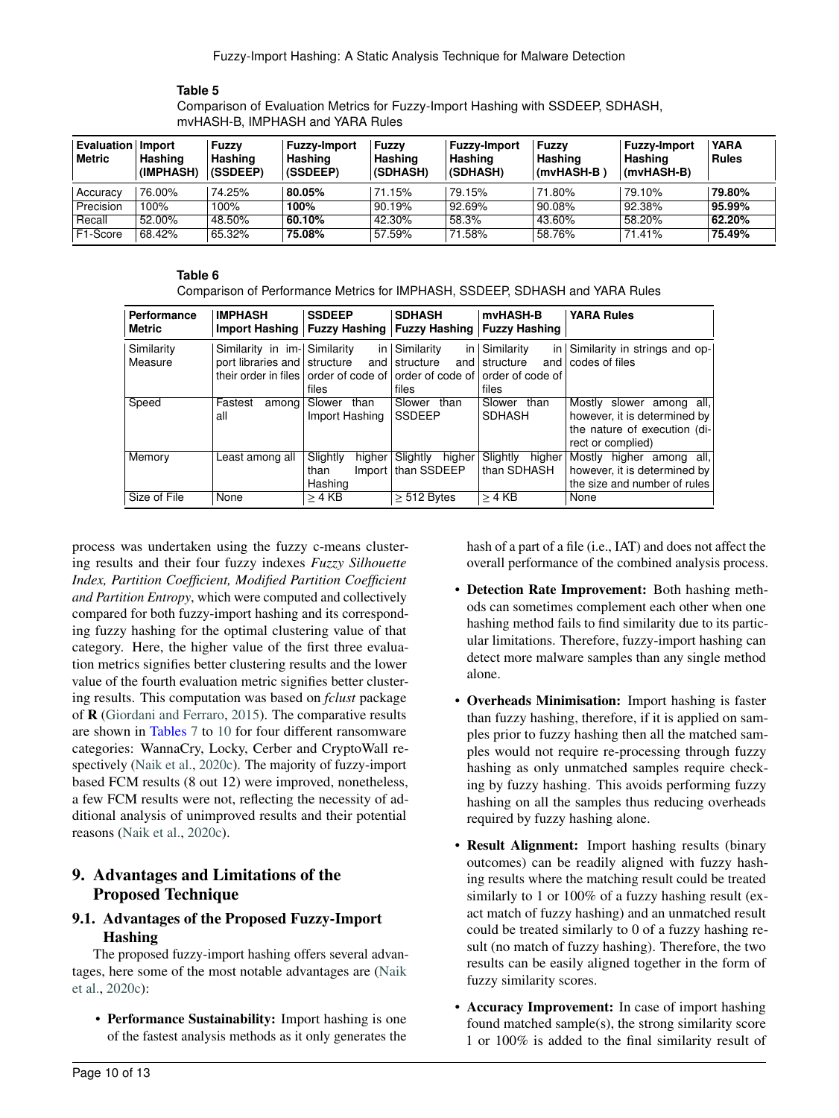<span id="page-9-2"></span>Comparison of Evaluation Metrics for Fuzzy-Import Hashing with SSDEEP, SDHASH, mvHASH-B, IMPHASH and YARA Rules

| Evaluation<br>Metric | lmport<br>Hashing<br>(IMPHASH) | Fuzzy<br>Hashing<br>(SSDEEP) | <b>Fuzzy-Import</b><br>Hashing<br>(SSDEEP) | <b>Fuzzv</b><br>Hashing<br>(SDHASH) | <b>Fuzzy-Import</b><br>Hashing<br>(SDHASH) | <b>Fuzzv</b><br>Hashing<br>(mvHASH-B) | <b>Fuzzy-Import</b><br>Hashing<br>(mvHASH-B) | <b>YARA</b><br><b>Rules</b> |
|----------------------|--------------------------------|------------------------------|--------------------------------------------|-------------------------------------|--------------------------------------------|---------------------------------------|----------------------------------------------|-----------------------------|
| Accuracy             | 76.00%                         | 74.25%                       | 80.05%                                     | 71.15%                              | 79.15%                                     | 71.80%                                | 79.10%                                       | 79.80%                      |
| Precision            | 100%                           | 100%                         | ຳ00%                                       | 90.19%                              | 92.69%                                     | 90.08%                                | 92.38%                                       | 95.99%                      |
| Recall               | 52.00%                         | 48.50%                       | 60.10%                                     | 42.30%                              | 58.3%                                      | 43.60%                                | 58.20%                                       | 62.20%                      |
| F1-Score             | 68.42%                         | 65.32%                       | 75.08%                                     | 57.59%                              | 71.58%                                     | 58.76%                                | 71.41%                                       | 75.49%                      |

#### **Table 6**

<span id="page-9-1"></span>Comparison of Performance Metrics for IMPHASH, SSDEEP, SDHASH and YARA Rules

| <b>Performance</b><br>Metric | <b>IMPHASH</b><br>Import Hashing   Fuzzy Hashing   Fuzzy Hashing   Fuzzy Hashing | <b>SSDEEP</b>      | <b>SDHASH</b>        | mvHASH-B               | <b>YARA Rules</b>             |
|------------------------------|----------------------------------------------------------------------------------|--------------------|----------------------|------------------------|-------------------------------|
| Similarity                   | Similarity in im- Similarity                                                     | in.                | Similarity           | in Similarity<br> n    | Similarity in strings and op- |
| Measure                      | port libraries and structure                                                     | and                | structure            | and structure<br>and l | codes of files                |
|                              | their order in files order of code of order of code of order of code of          |                    |                      |                        |                               |
|                              |                                                                                  | files              | files                | files                  |                               |
| Speed                        | Fastest<br>among                                                                 | Slower<br>than     | Slower<br>than       | Slower than            | Mostly slower among all,      |
|                              | all                                                                              | Import Hashing     | <b>SSDEEP</b>        | <b>SDHASH</b>          | however, it is determined by  |
|                              |                                                                                  |                    |                      |                        | the nature of execution (di-  |
|                              |                                                                                  |                    |                      |                        | rect or complied)             |
| Memory                       | Least among all                                                                  | Slightly<br>higher | higher<br>Slightly   | Slightly<br>higher     | higher among all,<br>Mostlv   |
|                              |                                                                                  | than               | Import   than SSDEEP | than SDHASH            | however, it is determined by  |
|                              |                                                                                  | Hashing            |                      |                        | the size and number of rules  |
| Size of File                 | None                                                                             | $>4$ KB            | $\geq 512$ Bytes     | $\geq$ 4 KB            | None                          |

process was undertaken using the fuzzy c-means clustering results and their four fuzzy indexes *Fuzzy Silhouette Index, Partition Coefficient, Modified Partition Coefficient and Partition Entropy*, which were computed and collectively compared for both fuzzy-import hashing and its corresponding fuzzy hashing for the optimal clustering value of that category. Here, the higher value of the first three evaluation metrics signifies better clustering results and the lower value of the fourth evaluation metric signifies better clustering results. This computation was based on *fclust* package of  $R$  [\(Giordani and Ferraro,](#page-11-25) [2015\)](#page-11-25). The comparative results are shown in Tables [7](#page-10-0) to [10](#page-10-1) for four different ransomware categories: WannaCry, Locky, Cerber and CryptoWall respectively [\(Naik et al.,](#page-12-24) [2020c\)](#page-12-24). The majority of fuzzy-import based FCM results (8 out 12) were improved, nonetheless, a few FCM results were not, reflecting the necessity of additional analysis of unimproved results and their potential reasons [\(Naik et al.,](#page-12-24) [2020c\)](#page-12-24).

# <span id="page-9-0"></span>9. Advantages and Limitations of the Proposed Technique

# 9.1. Advantages of the Proposed Fuzzy-Import Hashing

The proposed fuzzy-import hashing offers several advantages, here some of the most notable advantages are [\(Naik](#page-12-24) [et al.,](#page-12-24) [2020c\)](#page-12-24):

• Performance Sustainability: Import hashing is one of the fastest analysis methods as it only generates the hash of a part of a file (i.e., IAT) and does not affect the overall performance of the combined analysis process.

- Detection Rate Improvement: Both hashing methods can sometimes complement each other when one hashing method fails to find similarity due to its particular limitations. Therefore, fuzzy-import hashing can detect more malware samples than any single method alone.
- Overheads Minimisation: Import hashing is faster than fuzzy hashing, therefore, if it is applied on samples prior to fuzzy hashing then all the matched samples would not require re-processing through fuzzy hashing as only unmatched samples require checking by fuzzy hashing. This avoids performing fuzzy hashing on all the samples thus reducing overheads required by fuzzy hashing alone.
- Result Alignment: Import hashing results (binary outcomes) can be readily aligned with fuzzy hashing results where the matching result could be treated similarly to 1 or 100% of a fuzzy hashing result (exact match of fuzzy hashing) and an unmatched result could be treated similarly to 0 of a fuzzy hashing result (no match of fuzzy hashing). Therefore, the two results can be easily aligned together in the form of fuzzy similarity scores.
- Accuracy Improvement: In case of import hashing found matched sample(s), the strong similarity score 1 or 100% is added to the final similarity result of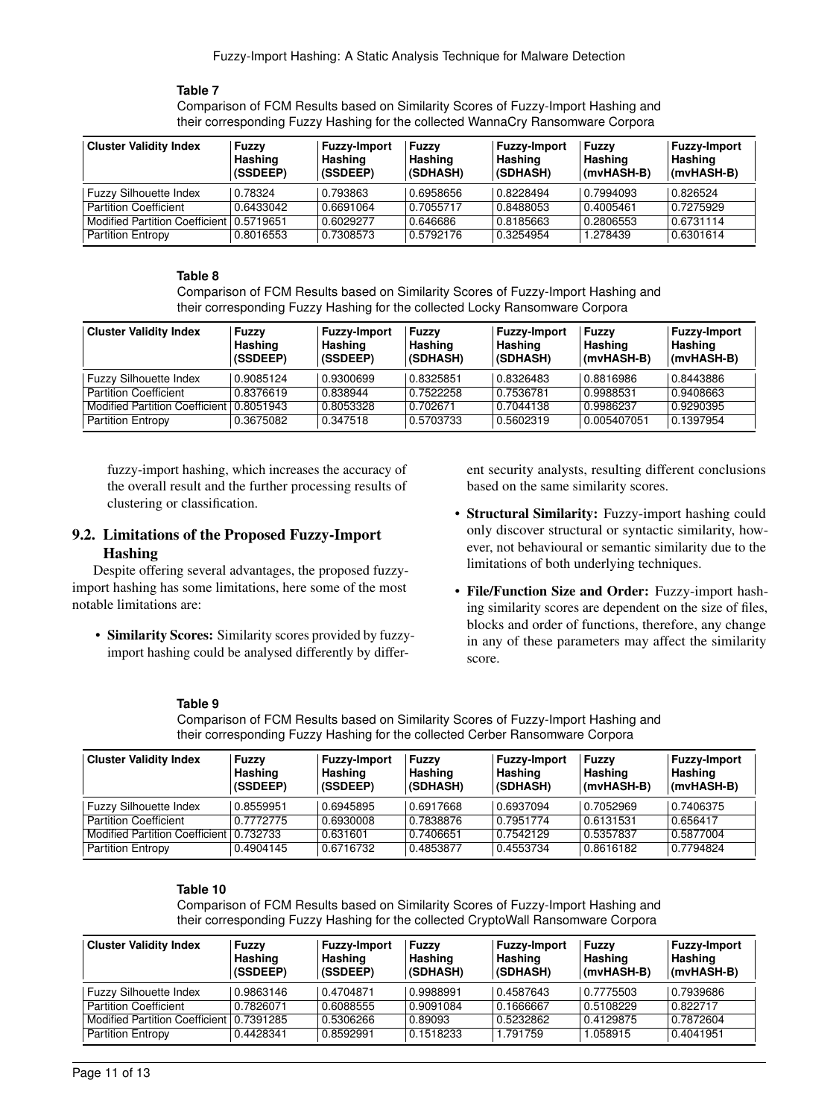<span id="page-10-0"></span>Comparison of FCM Results based on Similarity Scores of Fuzzy-Import Hashing and their corresponding Fuzzy Hashing for the collected WannaCry Ransomware Corpora

| <b>Cluster Validity Index</b>              | Fuzzv<br>Hashing<br>(SSDEEP) | <b>Fuzzy-Import</b><br>Hashing<br>(SSDEEP) | <b>Fuzzy</b><br>Hashing<br>(SDHASH) | <b>Fuzzy-Import</b><br>Hashing<br>(SDHASH) | Fuzzy<br>Hashing<br>(mvHASH-B) | <b>Fuzzy-Import</b><br>Hashing<br>(mvHASH-B) |
|--------------------------------------------|------------------------------|--------------------------------------------|-------------------------------------|--------------------------------------------|--------------------------------|----------------------------------------------|
| <b>Fuzzy Silhouette Index</b>              | 0.78324                      | 0.793863                                   | 0.6958656                           | 0.8228494                                  | 0.7994093                      | 0.826524                                     |
| <b>Partition Coefficient</b>               | 0.6433042                    | 0.6691064                                  | 0.7055717                           | 0.8488053                                  | 0.4005461                      | 0.7275929                                    |
| Modified Partition Coefficient   0.5719651 |                              | 0.6029277                                  | 0.646686                            | 0.8185663                                  | 0.2806553                      | 0.6731114                                    |
| <b>Partition Entropy</b>                   | 0.8016553                    | 0.7308573                                  | 0.5792176                           | 0.3254954                                  | 1.278439                       | 0.6301614                                    |

#### **Table 8**

Comparison of FCM Results based on Similarity Scores of Fuzzy-Import Hashing and their corresponding Fuzzy Hashing for the collected Locky Ransomware Corpora

| <b>Cluster Validity Index</b>  | Fuzzv<br>Hashing<br>(SSDEEP) | <b>Fuzzy-Import</b><br>Hashing<br>(SSDEEP) | <b>Fuzzy</b><br>Hashing<br>(SDHASH) | <b>Fuzzy-Import</b><br>Hashing<br>(SDHASH) | Fuzzv<br>Hashing<br>(mvHASH-B) | <b>Fuzzy-Import</b><br>Hashing<br>(mvHASH-B) |
|--------------------------------|------------------------------|--------------------------------------------|-------------------------------------|--------------------------------------------|--------------------------------|----------------------------------------------|
| <b>Fuzzy Silhouette Index</b>  | 0.9085124                    | 0.9300699                                  | 0.8325851                           | 0.8326483                                  | 0.8816986                      | 0.8443886                                    |
| <b>Partition Coefficient</b>   | 0.8376619                    | 0.838944                                   | 0.7522258                           | 0.7536781                                  | 0.9988531                      | 0.9408663                                    |
| Modified Partition Coefficient | 0.8051943                    | 0.8053328                                  | 0.702671                            | 0.7044138                                  | 0.9986237                      | 0.9290395                                    |
| <b>Partition Entropy</b>       | 0.3675082                    | 0.347518                                   | 0.5703733                           | 0.5602319                                  | 0.005407051                    | 0.1397954                                    |

fuzzy-import hashing, which increases the accuracy of the overall result and the further processing results of clustering or classification.

#### 9.2. Limitations of the Proposed Fuzzy-Import Hashing

Despite offering several advantages, the proposed fuzzyimport hashing has some limitations, here some of the most notable limitations are:

• Similarity Scores: Similarity scores provided by fuzzyimport hashing could be analysed differently by differ-

ent security analysts, resulting different conclusions based on the same similarity scores.

- Structural Similarity: Fuzzy-import hashing could only discover structural or syntactic similarity, however, not behavioural or semantic similarity due to the limitations of both underlying techniques.
- File/Function Size and Order: Fuzzy-import hashing similarity scores are dependent on the size of files, blocks and order of functions, therefore, any change in any of these parameters may affect the similarity score.

#### **Table 9**

Comparison of FCM Results based on Similarity Scores of Fuzzy-Import Hashing and their corresponding Fuzzy Hashing for the collected Cerber Ransomware Corpora

| <b>Cluster Validity Index</b>             | Fuzzy<br>Hashing<br>(SSDEEP) | <b>Fuzzy-Import</b><br>Hashing<br>(SSDEEP) | <b>Fuzzy</b><br>Hashing<br>(SDHASH) | <b>Fuzzy-Import</b><br>Hashing<br>(SDHASH) | Fuzzy<br>Hashing<br>(mvHASH-B) | <b>Fuzzy-Import</b><br>Hashing<br>(mvHASH-B) |
|-------------------------------------------|------------------------------|--------------------------------------------|-------------------------------------|--------------------------------------------|--------------------------------|----------------------------------------------|
| <b>Fuzzy Silhouette Index</b>             | 0.8559951                    | 0.6945895                                  | 0.6917668                           | 0.6937094                                  | 0.7052969                      | 0.7406375                                    |
| <b>Partition Coefficient</b>              | 0.7772775                    | 0.6930008                                  | 0.7838876                           | 0.7951774                                  | 0.6131531                      | 0.656417                                     |
| Modified Partition Coefficient   0.732733 |                              | 0.631601                                   | 0.7406651                           | 0.7542129                                  | 0.5357837                      | 0.5877004                                    |
| <b>Partition Entropy</b>                  | 0.4904145                    | 0.6716732                                  | 0.4853877                           | 0.4553734                                  | 0.8616182                      | 0.7794824                                    |

#### **Table 10**

<span id="page-10-1"></span>Comparison of FCM Results based on Similarity Scores of Fuzzy-Import Hashing and their corresponding Fuzzy Hashing for the collected CryptoWall Ransomware Corpora

| <b>Cluster Validity Index</b>         | Fuzzv<br>Hashing<br>(SSDEEP) | <b>Fuzzy-Import</b><br>Hashing<br>(SSDEEP) | <b>Fuzzy</b><br>Hashing<br>(SDHASH) | <b>Fuzzy-Import</b><br>Hashing<br>(SDHASH) | Fuzzv<br>Hashing<br>(mvHASH-B) | <b>Fuzzy-Import</b><br>Hashing<br>(mvHASH-B) |
|---------------------------------------|------------------------------|--------------------------------------------|-------------------------------------|--------------------------------------------|--------------------------------|----------------------------------------------|
| <b>Fuzzy Silhouette Index</b>         | 0.9863146                    | 0.4704871                                  | 0.9988991                           | 0.4587643                                  | 0.7775503                      | 0.7939686                                    |
| <b>Partition Coefficient</b>          | 0.7826071                    | 0.6088555                                  | 0.9091084                           | 0.1666667                                  | 0.5108229                      | 0.822717                                     |
| <b>Modified Partition Coefficient</b> | 0.7391285                    | 0.5306266                                  | 0.89093                             | 0.5232862                                  | 0.4129875                      | 0.7872604                                    |
| <b>Partition Entropy</b>              | 0.4428341                    | 0.8592991                                  | 0.1518233                           | 1.791759                                   | 1.058915                       | 0.4041951                                    |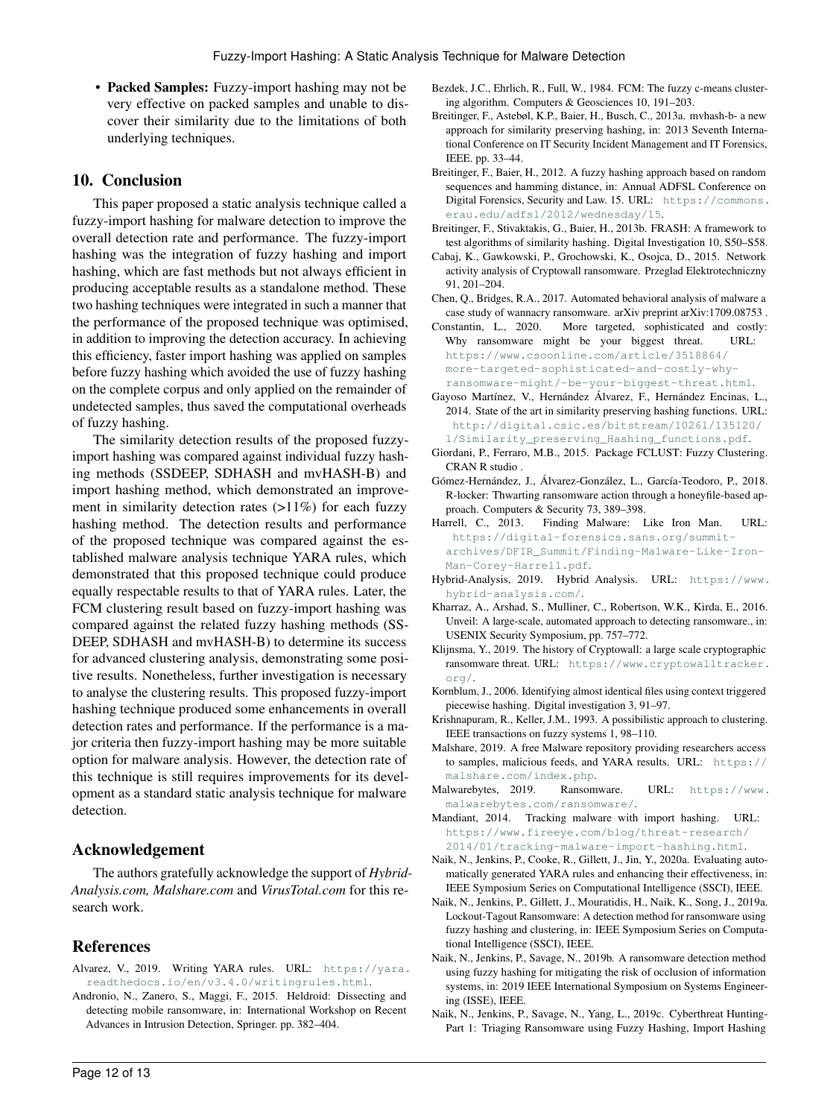• Packed Samples: Fuzzy-import hashing may not be very effective on packed samples and unable to discover their similarity due to the limitations of both underlying techniques.

### <span id="page-11-4"></span>10. Conclusion

This paper proposed a static analysis technique called a fuzzy-import hashing for malware detection to improve the overall detection rate and performance. The fuzzy-import hashing was the integration of fuzzy hashing and import hashing, which are fast methods but not always efficient in producing acceptable results as a standalone method. These two hashing techniques were integrated in such a manner that the performance of the proposed technique was optimised, in addition to improving the detection accuracy. In achieving this efficiency, faster import hashing was applied on samples before fuzzy hashing which avoided the use of fuzzy hashing on the complete corpus and only applied on the remainder of undetected samples, thus saved the computational overheads of fuzzy hashing.

The similarity detection results of the proposed fuzzyimport hashing was compared against individual fuzzy hashing methods (SSDEEP, SDHASH and mvHASH-B) and import hashing method, which demonstrated an improvement in similarity detection rates (>11%) for each fuzzy hashing method. The detection results and performance of the proposed technique was compared against the established malware analysis technique YARA rules, which demonstrated that this proposed technique could produce equally respectable results to that of YARA rules. Later, the FCM clustering result based on fuzzy-import hashing was compared against the related fuzzy hashing methods (SS-DEEP, SDHASH and mvHASH-B) to determine its success for advanced clustering analysis, demonstrating some positive results. Nonetheless, further investigation is necessary to analyse the clustering results. This proposed fuzzy-import hashing technique produced some enhancements in overall detection rates and performance. If the performance is a major criteria then fuzzy-import hashing may be more suitable option for malware analysis. However, the detection rate of this technique is still requires improvements for its development as a standard static analysis technique for malware detection.

#### Acknowledgement

The authors gratefully acknowledge the support of *Hybrid-Analysis.com, Malshare.com* and *VirusTotal.com* for this research work.

#### **References**

- <span id="page-11-10"></span>Alvarez, V., 2019. Writing YARA rules. URL: [https://yara.](https://yara.readthedocs.io/en/v3.4.0/writingrules.html) [readthedocs.io/en/v3.4.0/writingrules.html](https://yara.readthedocs.io/en/v3.4.0/writingrules.html).
- <span id="page-11-12"></span>Andronio, N., Zanero, S., Maggi, F., 2015. Heldroid: Dissecting and detecting mobile ransomware, in: International Workshop on Recent Advances in Intrusion Detection, Springer. pp. 382–404.
- <span id="page-11-23"></span>Bezdek, J.C., Ehrlich, R., Full, W., 1984. FCM: The fuzzy c-means clustering algorithm. Computers & Geosciences 10, 191–203.
- <span id="page-11-8"></span>Breitinger, F., Astebøl, K.P., Baier, H., Busch, C., 2013a. mvhash-b- a new approach for similarity preserving hashing, in: 2013 Seventh International Conference on IT Security Incident Management and IT Forensics, IEEE. pp. 33–44.
- <span id="page-11-6"></span>Breitinger, F., Baier, H., 2012. A fuzzy hashing approach based on random sequences and hamming distance, in: Annual ADFSL Conference on Digital Forensics, Security and Law. 15. URL: [https://commons.](https://commons.erau.edu/adfsl/2012/wednesday/15) [erau.edu/adfsl/2012/wednesday/15](https://commons.erau.edu/adfsl/2012/wednesday/15).
- <span id="page-11-2"></span>Breitinger, F., Stivaktakis, G., Baier, H., 2013b. FRASH: A framework to test algorithms of similarity hashing. Digital Investigation 10, S50–S58.
- <span id="page-11-14"></span>Cabaj, K., Gawkowski, P., Grochowski, K., Osojca, D., 2015. Network activity analysis of Cryptowall ransomware. Przeglad Elektrotechniczny 91, 201–204.
- <span id="page-11-15"></span>Chen, Q., Bridges, R.A., 2017. Automated behavioral analysis of malware a case study of wannacry ransomware. arXiv preprint arXiv:1709.08753 .
- <span id="page-11-16"></span>Constantin, L., 2020. More targeted, sophisticated and costly: Why ransomware might be your biggest threat. URL: [https://www.csoonline.com/article/3518864/](https://www.csoonline.com/article/3518864/more-targeted-sophisticated-and-costly-why-ransomware-might/-be-your-biggest-threat.html) [more-targeted-sophisticated-and-costly-why](https://www.csoonline.com/article/3518864/more-targeted-sophisticated-and-costly-why-ransomware-might/-be-your-biggest-threat.html)[ransomware-might/-be-your-biggest-threat.html](https://www.csoonline.com/article/3518864/more-targeted-sophisticated-and-costly-why-ransomware-might/-be-your-biggest-threat.html).
- <span id="page-11-7"></span>Gayoso Martínez, V., Hernández Álvarez, F., Hernández Encinas, L., 2014. State of the art in similarity preserving hashing functions. URL: [http://digital.csic.es/bitstream/10261/135120/](http://digital.csic.es/bitstream/10261/135120/1/Similarity_preserving_Hashing_functions.pdf) [1/Similarity\\_preserving\\_Hashing\\_functions.pdf](http://digital.csic.es/bitstream/10261/135120/1/Similarity_preserving_Hashing_functions.pdf).
- <span id="page-11-25"></span>Giordani, P., Ferraro, M.B., 2015. Package FCLUST: Fuzzy Clustering. CRAN R studio .
- <span id="page-11-13"></span>Gómez-Hernández, J., Álvarez-González, L., García-Teodoro, P., 2018. R-locker: Thwarting ransomware action through a honeyfile-based approach. Computers & Security 73, 389–398.
- <span id="page-11-0"></span>Harrell, C., 2013. Finding Malware: Like Iron Man. URL: [https://digital-forensics.sans.org/summit](https://digital-forensics.sans.org/summit-archives/DFIR_Summit/Finding-Malware-Like-Iron-Man-Corey-Harrell.pdf)[archives/DFIR\\_Summit/Finding-Malware-Like-Iron-](https://digital-forensics.sans.org/summit-archives/DFIR_Summit/Finding-Malware-Like-Iron-Man-Corey-Harrell.pdf)[Man-Corey-Harrell.pdf](https://digital-forensics.sans.org/summit-archives/DFIR_Summit/Finding-Malware-Like-Iron-Man-Corey-Harrell.pdf).
- <span id="page-11-19"></span>Hybrid-Analysis, 2019. Hybrid Analysis. URL: [https://www.](https://www.hybrid-analysis.com/) [hybrid-analysis.com/](https://www.hybrid-analysis.com/).
- <span id="page-11-11"></span>Kharraz, A., Arshad, S., Mulliner, C., Robertson, W.K., Kirda, E., 2016. Unveil: A large-scale, automated approach to detecting ransomware., in: USENIX Security Symposium, pp. 757–772.
- <span id="page-11-17"></span>Klijnsma, Y., 2019. The history of Cryptowall: a large scale cryptographic ransomware threat. URL: [https://www.cryptowalltracker.](https://www.cryptowalltracker.org/) [org/](https://www.cryptowalltracker.org/).
- <span id="page-11-5"></span>Kornblum, J., 2006. Identifying almost identical files using context triggered piecewise hashing. Digital investigation 3, 91–97.
- <span id="page-11-24"></span>Krishnapuram, R., Keller, J.M., 1993. A possibilistic approach to clustering. IEEE transactions on fuzzy systems 1, 98–110.
- <span id="page-11-20"></span>Malshare, 2019. A free Malware repository providing researchers access to samples, malicious feeds, and YARA results. URL: [https://](https://malshare.com/index.php) [malshare.com/index.php](https://malshare.com/index.php).
- <span id="page-11-18"></span>Malwarebytes, 2019. Ransomware. URL: [https://www.](https://www.malwarebytes.com/ransomware/) [malwarebytes.com/ransomware/](https://www.malwarebytes.com/ransomware/).
- <span id="page-11-9"></span>Mandiant, 2014. Tracking malware with import hashing. URL: [https://www.fireeye.com/blog/threat-research/](https://www.fireeye.com/blog/threat-research/2014/01/tracking-malware-import-hashing.html) [2014/01/tracking-malware-import-hashing.html](https://www.fireeye.com/blog/threat-research/2014/01/tracking-malware-import-hashing.html).
- <span id="page-11-22"></span>Naik, N., Jenkins, P., Cooke, R., Gillett, J., Jin, Y., 2020a. Evaluating automatically generated YARA rules and enhancing their effectiveness, in: IEEE Symposium Series on Computational Intelligence (SSCI), IEEE.
- <span id="page-11-21"></span>Naik, N., Jenkins, P., Gillett, J., Mouratidis, H., Naik, K., Song, J., 2019a. Lockout-Tagout Ransomware: A detection method for ransomware using fuzzy hashing and clustering, in: IEEE Symposium Series on Computational Intelligence (SSCI), IEEE.
- <span id="page-11-3"></span>Naik, N., Jenkins, P., Savage, N., 2019b. A ransomware detection method using fuzzy hashing for mitigating the risk of occlusion of information systems, in: 2019 IEEE International Symposium on Systems Engineering (ISSE), IEEE.
- <span id="page-11-1"></span>Naik, N., Jenkins, P., Savage, N., Yang, L., 2019c. Cyberthreat Hunting-Part 1: Triaging Ransomware using Fuzzy Hashing, Import Hashing